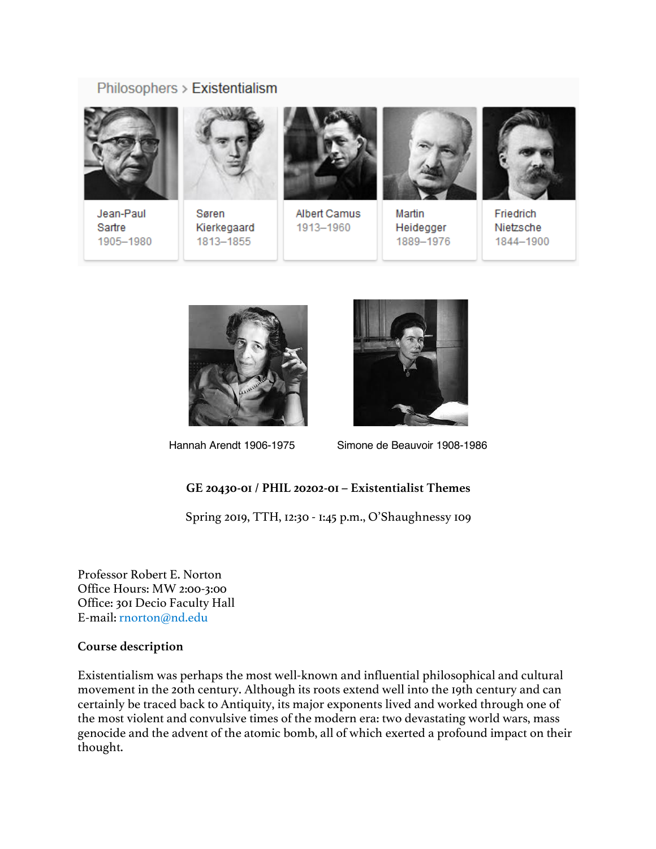# Philosophers > Existentialism



Jean-Paul Sartre 1905-1980



Søren Kierkegaard 1813-1855



Albert Camus 1913-1960



Martin Heidegger 1889-1976



Friedrich Nietzsche 1844-1900





Hannah Arendt 1906-1975 Simone de Beauvoir 1908-1986

## **GE 20430-01 / PHIL 20202-01 – Existentialist Themes**

Spring 2019, TTH, 12:30 - 1:45 p.m., O'Shaughnessy 109

Professor Robert E. Norton Office Hours: MW 2:00-3:00 Office: 301 Decio Faculty Hall E-mail: rnorton@nd.edu

## **Course description**

Existentialism was perhaps the most well-known and influential philosophical and cultural movement in the 20th century. Although its roots extend well into the 19th century and can certainly be traced back to Antiquity, its major exponents lived and worked through one of the most violent and convulsive times of the modern era: two devastating world wars, mass genocide and the advent of the atomic bomb, all of which exerted a profound impact on their thought.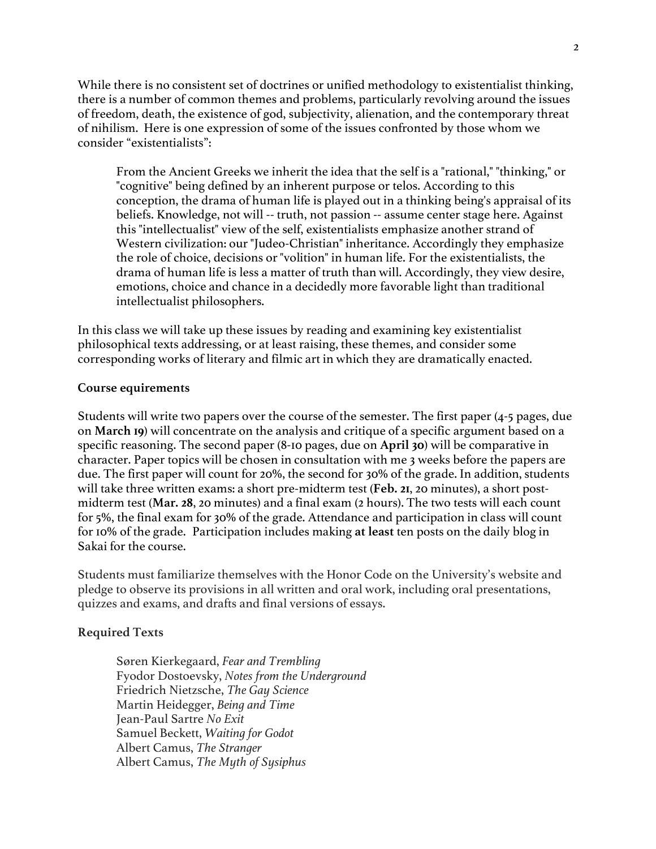While there is no consistent set of doctrines or unified methodology to existentialist thinking, there is a number of common themes and problems, particularly revolving around the issues of freedom, death, the existence of god, subjectivity, alienation, and the contemporary threat of nihilism. Here is one expression of some of the issues confronted by those whom we consider "existentialists":

From the Ancient Greeks we inherit the idea that the self is a "rational," "thinking," or "cognitive" being defined by an inherent purpose or telos. According to this conception, the drama of human life is played out in a thinking being's appraisal of its beliefs. Knowledge, not will -- truth, not passion -- assume center stage here. Against this "intellectualist" view of the self, existentialists emphasize another strand of Western civilization: our "Judeo-Christian" inheritance. Accordingly they emphasize the role of choice, decisions or "volition" in human life. For the existentialists, the drama of human life is less a matter of truth than will. Accordingly, they view desire, emotions, choice and chance in a decidedly more favorable light than traditional intellectualist philosophers.

In this class we will take up these issues by reading and examining key existentialist philosophical texts addressing, or at least raising, these themes, and consider some corresponding works of literary and filmic art in which they are dramatically enacted.

#### **Course equirements**

Students will write two papers over the course of the semester. The first paper (4-5 pages, due on **March 19**) will concentrate on the analysis and critique of a specific argument based on a specific reasoning. The second paper (8-10 pages, due on **April 30**) will be comparative in character. Paper topics will be chosen in consultation with me 3 weeks before the papers are due. The first paper will count for 20%, the second for 30% of the grade. In addition, students will take three written exams: a short pre-midterm test (**Feb. 21**, 20 minutes), a short postmidterm test (**Mar. 28**, 20 minutes) and a final exam (2 hours). The two tests will each count for 5%, the final exam for 30% of the grade. Attendance and participation in class will count for 10% of the grade. Participation includes making **at least** ten posts on the daily blog in Sakai for the course.

Students must familiarize themselves with the Honor Code on the University's website and pledge to observe its provisions in all written and oral work, including oral presentations, quizzes and exams, and drafts and final versions of essays.

#### **Required Texts**

Søren Kierkegaard, *Fear and Trembling* Fyodor Dostoevsky, *Notes from the Underground* Friedrich Nietzsche, *The Gay Science* Martin Heidegger, *Being and Time* Jean-Paul Sartre *No Exit* Samuel Beckett, *Waiting for Godot* Albert Camus, *The Stranger* Albert Camus, *The Myth of Sysiphus*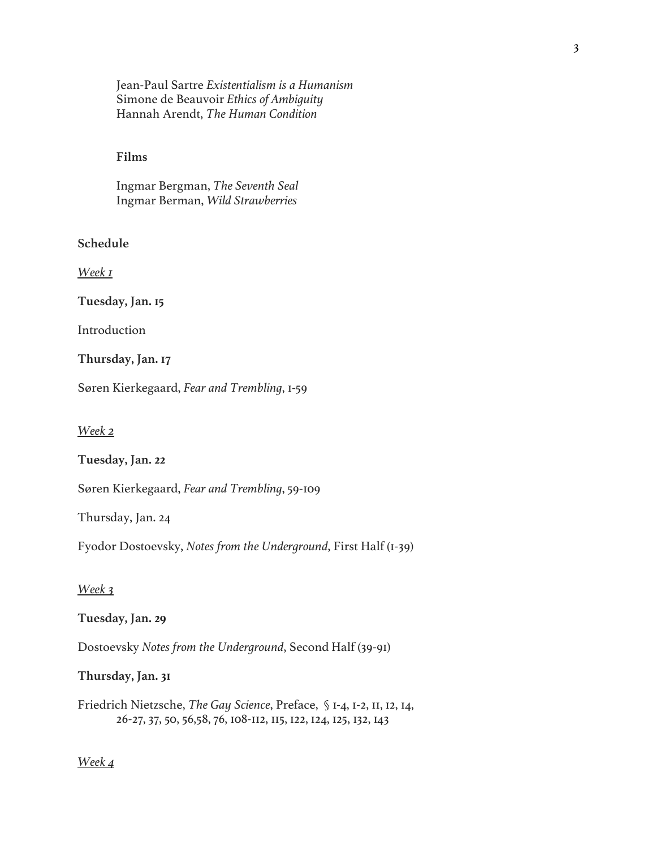Jean-Paul Sartre *Existentialism is a Humanism* Simone de Beauvoir *Ethics of Ambiguity* Hannah Arendt, *The Human Condition*

#### **Films**

Ingmar Bergman, *The Seventh Seal* Ingmar Berman, *Wild Strawberries*

## **Schedule**

*Week 1*

**Tuesday, Jan. 15**

Introduction

#### **Thursday, Jan. 17**

Søren Kierkegaard, *Fear and Trembling*, 1-59

*Week 2*

**Tuesday, Jan. 22**

Søren Kierkegaard, *Fear and Trembling*, 59-109

Thursday, Jan. 24

Fyodor Dostoevsky, *Notes from the Underground*, First Half (1-39)

### *Week 3*

#### **Tuesday, Jan. 29**

Dostoevsky *Notes from the Underground*, Second Half (39-91)

**Thursday, Jan. 31**

Friedrich Nietzsche, *The Gay Science*, Preface, § 1-4, 1-2, 11, 12, 14, 26-27, 37, 50, 56,58, 76, 108-112, 115, 122, 124, 125, 132, 143

### *Week 4*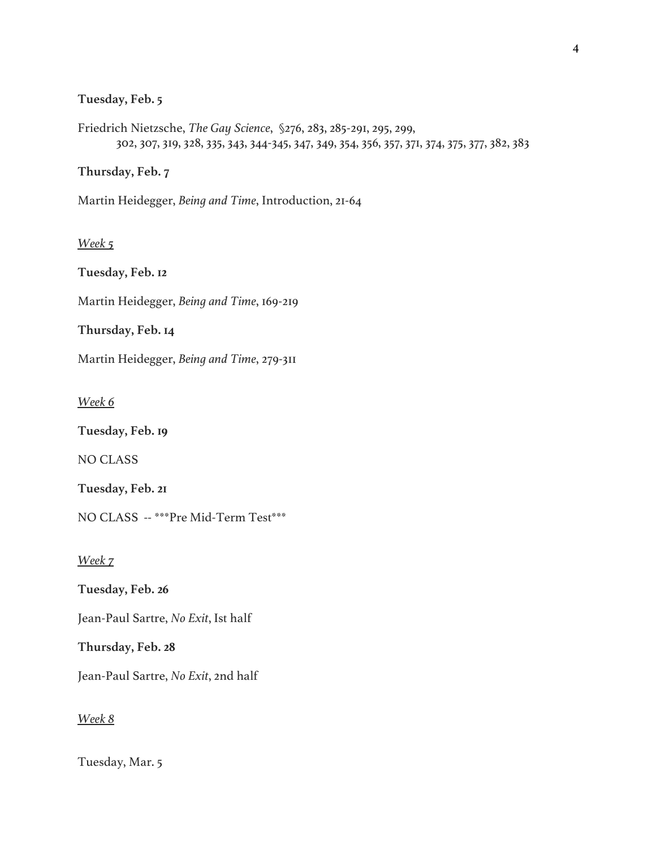### **Tuesday, Feb. 5**

Friedrich Nietzsche, *The Gay Science*, §276, 283, 285-291, 295, 299, 302, 307, 319, 328, 335, 343, 344-345, 347, 349, 354, 356, 357, 371, 374, 375, 377, 382, 383

**Thursday, Feb. 7**

Martin Heidegger, *Being and Time*, Introduction, 21-64

## *Week 5*

**Tuesday, Feb. 12** Martin Heidegger, *Being and Time*, 169-219 **Thursday, Feb. 14** Martin Heidegger, *Being and Time*, 279-311

*Week 6*

**Tuesday, Feb. 19**

NO CLASS

**Tuesday, Feb. 21**

NO CLASS -- \*\*\*Pre Mid-Term Test\*\*\*

*Week 7*

**Tuesday, Feb. 26**

Jean-Paul Sartre, *No Exit*, Ist half

**Thursday, Feb. 28**

Jean-Paul Sartre, *No Exit*, 2nd half

*Week 8*

Tuesday, Mar. 5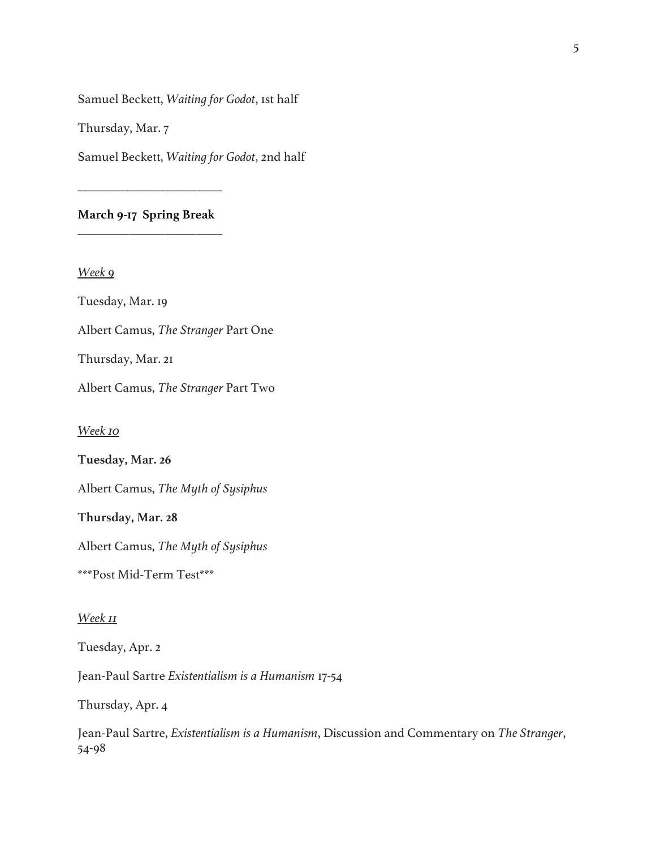Samuel Beckett, *Waiting for Godot*, 1st half

Thursday, Mar. 7

Samuel Beckett, *Waiting for Godot*, 2nd half

**March 9-17 Spring Break** \_\_\_\_\_\_\_\_\_\_\_\_\_\_\_\_\_\_\_\_\_\_\_\_\_\_\_\_

\_\_\_\_\_\_\_\_\_\_\_\_\_\_\_\_\_\_\_\_\_\_\_\_\_\_\_\_

*Week 9*

Tuesday, Mar. 19

Albert Camus, *The Stranger* Part One

Thursday, Mar. 21

Albert Camus, *The Stranger* Part Two

*Week 10*

**Tuesday, Mar. 26**

Albert Camus, *The Myth of Sysiphus*

**Thursday, Mar. 28**

Albert Camus, *The Myth of Sysiphus*

\*\*\*Post Mid-Term Test\*\*\*

*Week 11*

Tuesday, Apr. 2

Jean-Paul Sartre *Existentialism is a Humanism* 17-54

Thursday, Apr. 4

Jean-Paul Sartre, *Existentialism is a Humanism*, Discussion and Commentary on *The Stranger*, 54-98